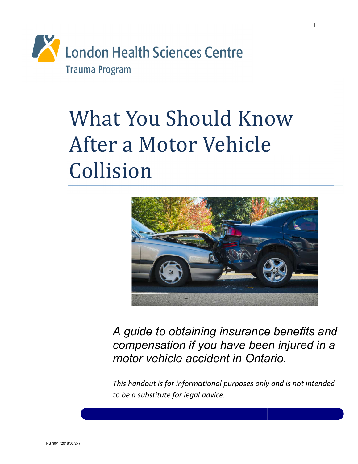

# **What You Should Know** After a Motor Vehicle Collision



A guide to obtaining insurance benefits and compensation if you have been injured in a motor vehicle accident in Ontario.

This handout is for informational purposes only and is not intended to be a substitute for legal advice.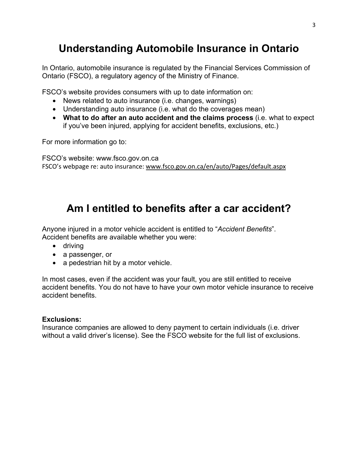### **Understanding Automobile Insurance in Ontario**

In Ontario, automobile insurance is regulated by the Financial Services Commission of Ontario (FSCO), a regulatory agency of the Ministry of Finance.

FSCO's website provides consumers with up to date information on:

- News related to auto insurance (i.e. changes, warnings)
- Understanding auto insurance (i.e. what do the coverages mean)
- **What to do after an auto accident and the claims process** (i.e. what to expect if you've been injured, applying for accident benefits, exclusions, etc.)

For more information go to:

FSCO's website: www.fsco.gov.on.ca FSCO's webpage re: auto insurance: www.fsco.gov.on.ca/en/auto/Pages/default.aspx

#### **Am I entitled to benefits after a car accident?**

Anyone injured in a motor vehicle accident is entitled to "*Accident Benefits*". Accident benefits are available whether you were:

- driving
- a passenger, or
- a pedestrian hit by a motor vehicle.

In most cases, even if the accident was your fault, you are still entitled to receive accident benefits. You do not have to have your own motor vehicle insurance to receive accident benefits.

#### **Exclusions:**

Insurance companies are allowed to deny payment to certain individuals (i.e. driver without a valid driver's license). See the FSCO website for the full list of exclusions.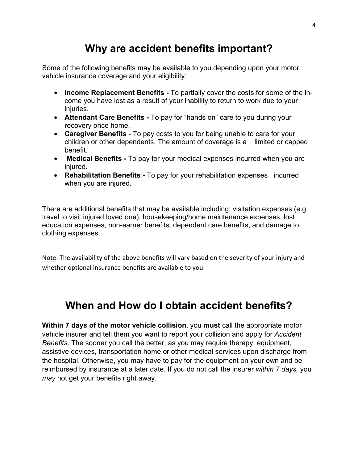#### **Why are accident benefits important?**

Some of the following benefits may be available to you depending upon your motor vehicle insurance coverage and your eligibility:

- **Income Replacement Benefits** To partially cover the costs for some of the income you have lost as a result of your inability to return to work due to your injuries.
- **Attendant Care Benefits** To pay for "hands on" care to you during your recovery once home.
- **Caregiver Benefits**  To pay costs to you for being unable to care for your children or other dependents. The amount of coverage is a limited or capped benefit.
- **Medical Benefits** To pay for your medical expenses incurred when you are injured.
- **Rehabilitation Benefits** To pay for your rehabilitation expenses incurred when you are injured.

There are additional benefits that may be available including: visitation expenses (e.g. travel to visit injured loved one), housekeeping/home maintenance expenses, lost education expenses, non-earner benefits, dependent care benefits, and damage to clothing expenses.

Note: The availability of the above benefits will vary based on the severity of your injury and whether optional insurance benefits are available to you.

#### **When and How do I obtain accident benefits?**

**Within 7 days of the motor vehicle collision**, you **must** call the appropriate motor vehicle insurer and tell them you want to report your collision and apply for *Accident Benefits*. The sooner you call the better, as you may require therapy, equipment, assistive devices, transportation home or other medical services upon discharge from the hospital. Otherwise, you may have to pay for the equipment on your own and be reimbursed by insurance at a later date. If you do not call the insurer *within 7 days,* you *may* not get your benefits right away.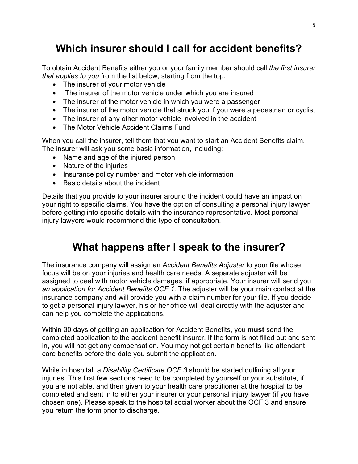### **Which insurer should I call for accident benefits?**

To obtain Accident Benefits either you or your family member should call *the first insurer that applies to you* from the list below, starting from the top:

- The insurer of your motor vehicle
- The insurer of the motor vehicle under which you are insured
- The insurer of the motor vehicle in which you were a passenger
- The insurer of the motor vehicle that struck you if you were a pedestrian or cyclist
- The insurer of any other motor vehicle involved in the accident
- The Motor Vehicle Accident Claims Fund

When you call the insurer, tell them that you want to start an Accident Benefits claim. The insurer will ask you some basic information, including:

- Name and age of the injured person
- Nature of the injuries
- Insurance policy number and motor vehicle information
- Basic details about the incident

Details that you provide to your insurer around the incident could have an impact on your right to specific claims. You have the option of consulting a personal injury lawyer before getting into specific details with the insurance representative. Most personal injury lawyers would recommend this type of consultation.

### **What happens after I speak to the insurer?**

The insurance company will assign an *Accident Benefits Adjuster* to your file whose focus will be on your injuries and health care needs. A separate adjuster will be assigned to deal with motor vehicle damages, if appropriate. Your insurer will send you *an application for Accident Benefits OCF 1.* The adjuster will be your main contact at the insurance company and will provide you with a claim number for your file. If you decide to get a personal injury lawyer, his or her office will deal directly with the adjuster and can help you complete the applications.

Within 30 days of getting an application for Accident Benefits, you **must** send the completed application to the accident benefit insurer. If the form is not filled out and sent in, you will not get any compensation. You may not get certain benefits like attendant care benefits before the date you submit the application.

While in hospital, a *Disability Certificate OCF 3* should be started outlining all your injuries. This first few sections need to be completed by yourself or your substitute, if you are not able, and then given to your health care practitioner at the hospital to be completed and sent in to either your insurer or your personal injury lawyer (if you have chosen one). Please speak to the hospital social worker about the OCF 3 and ensure you return the form prior to discharge.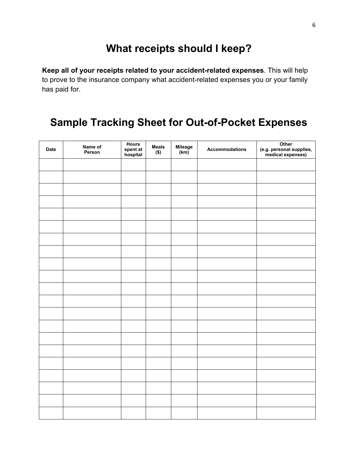#### **What receipts should I keep?**

**Keep all of your receipts related to your accident-related expenses**. This will help to prove to the insurance company what accident-related expenses you or your family has paid for.

#### **Sample Tracking Sheet for Out-of-Pocket Expenses**

| Date | Name of<br>Person | Hours<br>spent at<br>hospital | <b>Meals</b><br>$($ \$) | Mileage<br>(km) | <b>Accommodations</b> | Other<br>(e.g. personal supplies,<br>medical expenses) |
|------|-------------------|-------------------------------|-------------------------|-----------------|-----------------------|--------------------------------------------------------|
|      |                   |                               |                         |                 |                       |                                                        |
|      |                   |                               |                         |                 |                       |                                                        |
|      |                   |                               |                         |                 |                       |                                                        |
|      |                   |                               |                         |                 |                       |                                                        |
|      |                   |                               |                         |                 |                       |                                                        |
|      |                   |                               |                         |                 |                       |                                                        |
|      |                   |                               |                         |                 |                       |                                                        |
|      |                   |                               |                         |                 |                       |                                                        |
|      |                   |                               |                         |                 |                       |                                                        |
|      |                   |                               |                         |                 |                       |                                                        |
|      |                   |                               |                         |                 |                       |                                                        |
|      |                   |                               |                         |                 |                       |                                                        |
|      |                   |                               |                         |                 |                       |                                                        |
|      |                   |                               |                         |                 |                       |                                                        |
|      |                   |                               |                         |                 |                       |                                                        |
|      |                   |                               |                         |                 |                       |                                                        |
|      |                   |                               |                         |                 |                       |                                                        |
|      |                   |                               |                         |                 |                       |                                                        |
|      |                   |                               |                         |                 |                       |                                                        |
|      |                   |                               |                         |                 |                       |                                                        |
|      |                   |                               |                         |                 |                       |                                                        |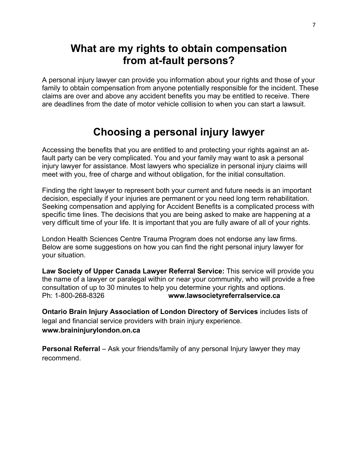#### **What are my rights to obtain compensation from at-fault persons?**

A personal injury lawyer can provide you information about your rights and those of your family to obtain compensation from anyone potentially responsible for the incident. These claims are over and above any accident benefits you may be entitled to receive. There are deadlines from the date of motor vehicle collision to when you can start a lawsuit.

#### **Choosing a personal injury lawyer**

Accessing the benefits that you are entitled to and protecting your rights against an atfault party can be very complicated. You and your family may want to ask a personal injury lawyer for assistance. Most lawyers who specialize in personal injury claims will meet with you, free of charge and without obligation, for the initial consultation.

Finding the right lawyer to represent both your current and future needs is an important decision, especially if your injuries are permanent or you need long term rehabilitation. Seeking compensation and applying for Accident Benefits is a complicated process with specific time lines. The decisions that you are being asked to make are happening at a very difficult time of your life. It is important that you are fully aware of all of your rights.

London Health Sciences Centre Trauma Program does not endorse any law firms. Below are some suggestions on how you can find the right personal injury lawyer for your situation.

**Law Society of Upper Canada Lawyer Referral Service:** This service will provide you the name of a lawyer or paralegal within or near your community, who will provide a free consultation of up to 30 minutes to help you determine your rights and options. Ph: 1-800-268-8326 **www.lawsocietyreferralservice.ca**

**Ontario Brain Injury Association of London Directory of Services** includes lists of legal and financial service providers with brain injury experience. **www.braininjurylondon.on.ca**

**Personal Referral** – Ask your friends/family of any personal Injury lawyer they may recommend.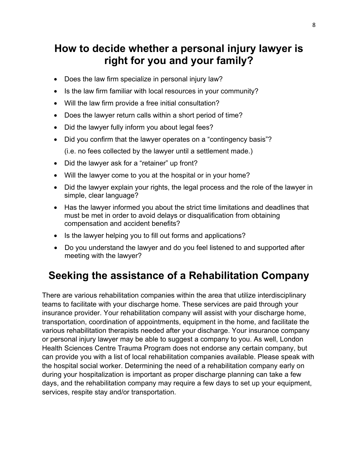#### **How to decide whether a personal injury lawyer is right for you and your family?**

- Does the law firm specialize in personal injury law?
- Is the law firm familiar with local resources in your community?
- Will the law firm provide a free initial consultation?
- Does the lawyer return calls within a short period of time?
- Did the lawyer fully inform you about legal fees?
- Did you confirm that the lawyer operates on a "contingency basis"? (i.e. no fees collected by the lawyer until a settlement made.)
- Did the lawyer ask for a "retainer" up front?
- Will the lawyer come to you at the hospital or in your home?
- Did the lawyer explain your rights, the legal process and the role of the lawyer in simple, clear language?
- Has the lawyer informed you about the strict time limitations and deadlines that must be met in order to avoid delays or disqualification from obtaining compensation and accident benefits?
- Is the lawyer helping you to fill out forms and applications?
- Do you understand the lawyer and do you feel listened to and supported after meeting with the lawyer?

### **Seeking the assistance of a Rehabilitation Company**

There are various rehabilitation companies within the area that utilize interdisciplinary teams to facilitate with your discharge home. These services are paid through your insurance provider. Your rehabilitation company will assist with your discharge home, transportation, coordination of appointments, equipment in the home, and facilitate the various rehabilitation therapists needed after your discharge. Your insurance company or personal injury lawyer may be able to suggest a company to you. As well, London Health Sciences Centre Trauma Program does not endorse any certain company, but can provide you with a list of local rehabilitation companies available. Please speak with the hospital social worker. Determining the need of a rehabilitation company early on during your hospitalization is important as proper discharge planning can take a few days, and the rehabilitation company may require a few days to set up your equipment, services, respite stay and/or transportation.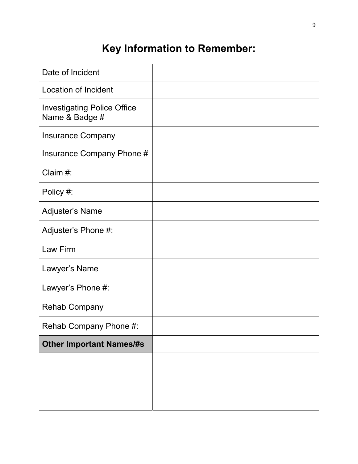## **Key Information to Remember:**

| Date of Incident                                     |  |
|------------------------------------------------------|--|
| <b>Location of Incident</b>                          |  |
| <b>Investigating Police Office</b><br>Name & Badge # |  |
| <b>Insurance Company</b>                             |  |
| Insurance Company Phone #                            |  |
| Claim #:                                             |  |
| Policy #:                                            |  |
| Adjuster's Name                                      |  |
| Adjuster's Phone #:                                  |  |
| Law Firm                                             |  |
| Lawyer's Name                                        |  |
| Lawyer's Phone #:                                    |  |
| <b>Rehab Company</b>                                 |  |
| Rehab Company Phone #:                               |  |
| <b>Other Important Names/#s</b>                      |  |
|                                                      |  |
|                                                      |  |
|                                                      |  |